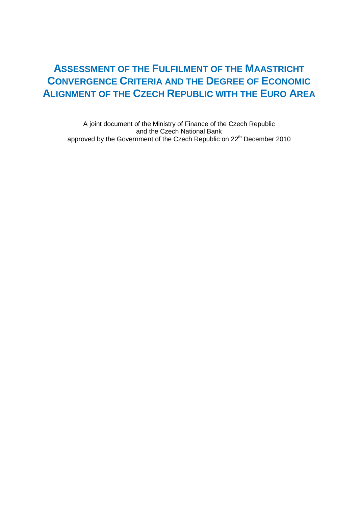## **ASSESSMENT OF THE FULFILMENT OF THE MAASTRICHT CONVERGENCE CRITERIA AND THE DEGREE OF ECONOMIC ALIGNMENT OF THE CZECH REPUBLIC WITH THE EURO AREA**

A joint document of the Ministry of Finance of the Czech Republic and the Czech National Bank approved by the Government of the Czech Republic on 22<sup>th</sup> December 2010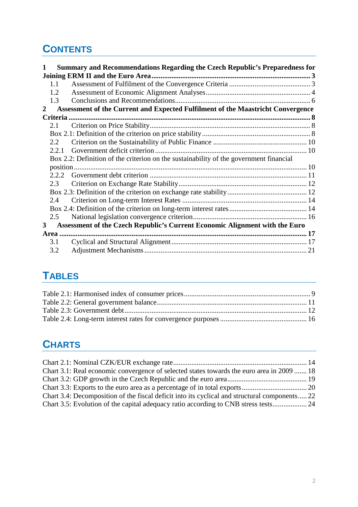# **CONTENTS**

| 1              |       | Summary and Recommendations Regarding the Czech Republic's Preparedness for            |  |
|----------------|-------|----------------------------------------------------------------------------------------|--|
|                |       | Joining ERM II and the Euro Area.                                                      |  |
|                | 1.1   |                                                                                        |  |
|                | 1.2   |                                                                                        |  |
|                | 1.3   |                                                                                        |  |
| $\overline{2}$ |       | Assessment of the Current and Expected Fulfilment of the Maastricht Convergence        |  |
|                |       |                                                                                        |  |
|                | 2.1   |                                                                                        |  |
|                |       |                                                                                        |  |
|                | 2.2   |                                                                                        |  |
|                | 2.2.1 |                                                                                        |  |
|                |       | Box 2.2: Definition of the criterion on the sustainability of the government financial |  |
|                |       |                                                                                        |  |
|                | 2.2.2 |                                                                                        |  |
|                | 2.3   |                                                                                        |  |
|                |       |                                                                                        |  |
|                | 2.4   |                                                                                        |  |
|                |       |                                                                                        |  |
|                | 2.5   |                                                                                        |  |
| $\mathbf{3}$   |       | Assessment of the Czech Republic's Current Economic Alignment with the Euro            |  |
|                |       | Area                                                                                   |  |
|                | 3.1   |                                                                                        |  |
|                | 3.2   |                                                                                        |  |

# **TABLES**

# **CHARTS**

| Chart 3.1: Real economic convergence of selected states towards the euro area in 2009  18     |  |
|-----------------------------------------------------------------------------------------------|--|
|                                                                                               |  |
|                                                                                               |  |
| Chart 3.4: Decomposition of the fiscal deficit into its cyclical and structural components 22 |  |
|                                                                                               |  |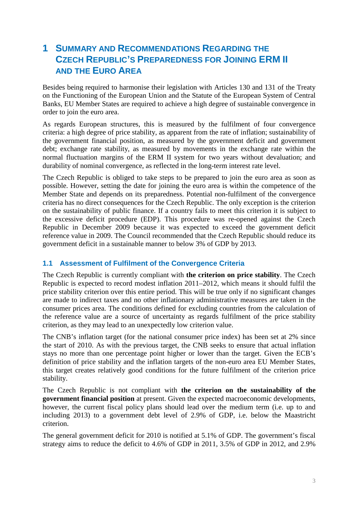## **1 SUMMARY AND RECOMMENDATIONS REGARDING THE CZECH REPUBLIC'S PREPAREDNESS FOR JOINING ERM II AND THE EURO AREA**

Besides being required to harmonise their legislation with Articles 130 and 131 of the Treaty on the Functioning of the European Union and the Statute of the European System of Central Banks, EU Member States are required to achieve a high degree of sustainable convergence in order to join the euro area.

As regards European structures, this is measured by the fulfilment of four convergence criteria: a high degree of price stability, as apparent from the rate of inflation; sustainability of the government financial position, as measured by the government deficit and government debt; exchange rate stability, as measured by movements in the exchange rate within the normal fluctuation margins of the ERM II system for two years without devaluation; and durability of nominal convergence, as reflected in the long-term interest rate level.

The Czech Republic is obliged to take steps to be prepared to join the euro area as soon as possible. However, setting the date for joining the euro area is within the competence of the Member State and depends on its preparedness. Potential non-fulfilment of the convergence criteria has no direct consequences for the Czech Republic. The only exception is the criterion on the sustainability of public finance. If a country fails to meet this criterion it is subject to the excessive deficit procedure (EDP). This procedure was re-opened against the Czech Republic in December 2009 because it was expected to exceed the government deficit reference value in 2009. The Council recommended that the Czech Republic should reduce its government deficit in a sustainable manner to below 3% of GDP by 2013.

## **1.1 Assessment of Fulfilment of the Convergence Criteria**

The Czech Republic is currently compliant with **the criterion on price stability**. The Czech Republic is expected to record modest inflation 2011–2012, which means it should fulfil the price stability criterion over this entire period. This will be true only if no significant changes are made to indirect taxes and no other inflationary administrative measures are taken in the consumer prices area. The conditions defined for excluding countries from the calculation of the reference value are a source of uncertainty as regards fulfilment of the price stability criterion, as they may lead to an unexpectedly low criterion value.

The CNB's inflation target (for the national consumer price index) has been set at 2% since the start of 2010. As with the previous target, the CNB seeks to ensure that actual inflation stays no more than one percentage point higher or lower than the target. Given the ECB's definition of price stability and the inflation targets of the non-euro area EU Member States, this target creates relatively good conditions for the future fulfilment of the criterion price stability.

The Czech Republic is not compliant with **the criterion on the sustainability of the government financial position** at present. Given the expected macroeconomic developments, however, the current fiscal policy plans should lead over the medium term (i.e. up to and including 2013) to a government debt level of 2.9% of GDP, i.e. below the Maastricht criterion.

The general government deficit for 2010 is notified at 5.1% of GDP. The government's fiscal strategy aims to reduce the deficit to 4.6% of GDP in 2011, 3.5% of GDP in 2012, and 2.9%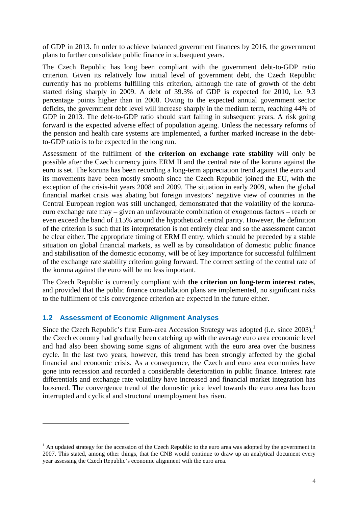of GDP in 2013. In order to achieve balanced government finances by 2016, the government plans to further consolidate public finance in subsequent years.

The Czech Republic has long been compliant with the government debt-to-GDP ratio criterion. Given its relatively low initial level of government debt, the Czech Republic currently has no problems fulfilling this criterion, although the rate of growth of the debt started rising sharply in 2009. A debt of 39.3% of GDP is expected for 2010, i.e. 9.3 percentage points higher than in 2008. Owing to the expected annual government sector deficits, the government debt level will increase sharply in the medium term, reaching 44% of GDP in 2013. The debt-to-GDP ratio should start falling in subsequent years. A risk going forward is the expected adverse effect of population ageing. Unless the necessary reforms of the pension and health care systems are implemented, a further marked increase in the debtto-GDP ratio is to be expected in the long run.

Assessment of the fulfilment of **the criterion on exchange rate stability** will only be possible after the Czech currency joins ERM II and the central rate of the koruna against the euro is set. The koruna has been recording a long-term appreciation trend against the euro and its movements have been mostly smooth since the Czech Republic joined the EU, with the exception of the crisis-hit years 2008 and 2009. The situation in early 2009, when the global financial market crisis was abating but foreign investors' negative view of countries in the Central European region was still unchanged, demonstrated that the volatility of the korunaeuro exchange rate may – given an unfavourable combination of exogenous factors – reach or even exceed the band of  $\pm 15\%$  around the hypothetical central parity. However, the definition of the criterion is such that its interpretation is not entirely clear and so the assessment cannot be clear either. The appropriate timing of ERM II entry, which should be preceded by a stable situation on global financial markets, as well as by consolidation of domestic public finance and stabilisation of the domestic economy, will be of key importance for successful fulfilment of the exchange rate stability criterion going forward. The correct setting of the central rate of the koruna against the euro will be no less important.

The Czech Republic is currently compliant with **the criterion on long-term interest rates**, and provided that the public finance consolidation plans are implemented, no significant risks to the fulfilment of this convergence criterion are expected in the future either.

## **1.2 Assessment of Economic Alignment Analyses**

 $\overline{a}$ 

Since the Czech Republic's first Euro-area Accession Strategy was adopted (i.e. since 2003).<sup>1</sup> the Czech economy had gradually been catching up with the average euro area economic level and had also been showing some signs of alignment with the euro area over the business cycle. In the last two years, however, this trend has been strongly affected by the global financial and economic crisis. As a consequence, the Czech and euro area economies have gone into recession and recorded a considerable deterioration in public finance. Interest rate differentials and exchange rate volatility have increased and financial market integration has loosened. The convergence trend of the domestic price level towards the euro area has been interrupted and cyclical and structural unemployment has risen.

 $<sup>1</sup>$  An updated strategy for the accession of the Czech Republic to the euro area was adopted by the government in</sup> 2007. This stated, among other things, that the CNB would continue to draw up an analytical document every year assessing the Czech Republic's economic alignment with the euro area.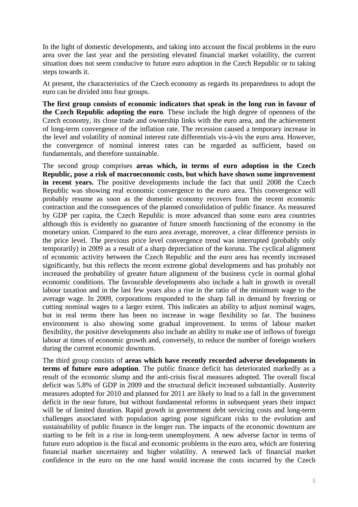In the light of domestic developments, and taking into account the fiscal problems in the euro area over the last year and the persisting elevated financial market volatility, the current situation does not seem conducive to future euro adoption in the Czech Republic or to taking steps towards it.

At present, the characteristics of the Czech economy as regards its preparedness to adopt the euro can be divided into four groups.

**The first group consists of economic indicators that speak in the long run in favour of the Czech Republic adopting the euro**. These include the high degree of openness of the Czech economy, its close trade and ownership links with the euro area, and the achievement of long-term convergence of the inflation rate. The recession caused a temporary increase in the level and volatility of nominal interest rate differentials vis-à-vis the euro area. However, the convergence of nominal interest rates can be regarded as sufficient, based on fundamentals, and therefore sustainable.

The second group comprises **areas which, in terms of euro adoption in the Czech Republic, pose a risk of macroeconomic costs, but which have shown some improvement in recent years.** The positive developments include the fact that until 2008 the Czech Republic was showing real economic convergence to the euro area. This convergence will probably resume as soon as the domestic economy recovers from the recent economic contraction and the consequences of the planned consolidation of public finance. As measured by GDP per capita, the Czech Republic is more advanced than some euro area countries although this is evidently no guarantee of future smooth functioning of the economy in the monetary union. Compared to the euro area average, moreover, a clear difference persists in the price level. The previous price level convergence trend was interrupted (probably only temporarily) in 2009 as a result of a sharp depreciation of the koruna. The cyclical alignment of economic activity between the Czech Republic and the euro area has recently increased significantly, but this reflects the recent extreme global developments and has probably not increased the probability of greater future alignment of the business cycle in normal global economic conditions. The favourable developments also include a halt in growth in overall labour taxation and in the last few years also a rise in the ratio of the minimum wage to the average wage. In 2009, corporations responded to the sharp fall in demand by freezing or cutting nominal wages to a larger extent. This indicates an ability to adjust nominal wages, but in real terms there has been no increase in wage flexibility so far. The business environment is also showing some gradual improvement. In terms of labour market flexibility, the positive developments also include an ability to make use of inflows of foreign labour at times of economic growth and, conversely, to reduce the number of foreign workers during the current economic downturn.

The third group consists of **areas which have recently recorded adverse developments in terms of future euro adoption**. The public finance deficit has deteriorated markedly as a result of the economic slump and the anti-crisis fiscal measures adopted. The overall fiscal deficit was 5.8% of GDP in 2009 and the structural deficit increased substantially. Austerity measures adopted for 2010 and planned for 2011 are likely to lead to a fall in the government deficit in the near future, but without fundamental reforms in subsequent years their impact will be of limited duration. Rapid growth in government debt servicing costs and long-term challenges associated with population ageing pose significant risks to the evolution and sustainability of public finance in the longer run. The impacts of the economic downturn are starting to be felt in a rise in long-term unemployment. A new adverse factor in terms of future euro adoption is the fiscal and economic problems in the euro area, which are fostering financial market uncertainty and higher volatility. A renewed lack of financial market confidence in the euro on the one hand would increase the costs incurred by the Czech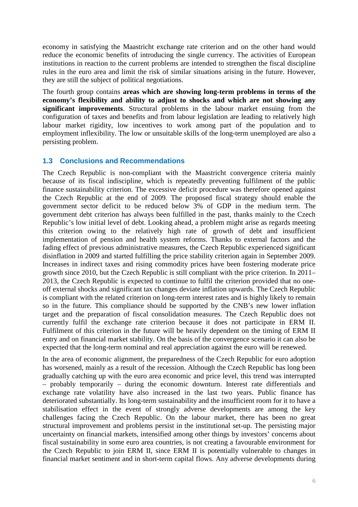economy in satisfying the Maastricht exchange rate criterion and on the other hand would reduce the economic benefits of introducing the single currency. The activities of European institutions in reaction to the current problems are intended to strengthen the fiscal discipline rules in the euro area and limit the risk of similar situations arising in the future. However, they are still the subject of political negotiations.

The fourth group contains **areas which are showing long-term problems in terms of the economy's flexibility and ability to adjust to shocks and which are not showing any significant improvements**. Structural problems in the labour market ensuing from the configuration of taxes and benefits and from labour legislation are leading to relatively high labour market rigidity, low incentives to work among part of the population and to employment inflexibility. The low or unsuitable skills of the long-term unemployed are also a persisting problem.

### **1.3 Conclusions and Recommendations**

The Czech Republic is non-compliant with the Maastricht convergence criteria mainly because of its fiscal indiscipline, which is repeatedly preventing fulfilment of the public finance sustainability criterion. The excessive deficit procedure was therefore opened against the Czech Republic at the end of 2009. The proposed fiscal strategy should enable the government sector deficit to be reduced below 3% of GDP in the medium term. The government debt criterion has always been fulfilled in the past, thanks mainly to the Czech Republic's low initial level of debt. Looking ahead, a problem might arise as regards meeting this criterion owing to the relatively high rate of growth of debt and insufficient implementation of pension and health system reforms. Thanks to external factors and the fading effect of previous administrative measures, the Czech Republic experienced significant disinflation in 2009 and started fulfilling the price stability criterion again in September 2009. Increases in indirect taxes and rising commodity prices have been fostering moderate price growth since 2010, but the Czech Republic is still compliant with the price criterion. In 2011– 2013, the Czech Republic is expected to continue to fulfil the criterion provided that no oneoff external shocks and significant tax changes deviate inflation upwards. The Czech Republic is compliant with the related criterion on long-term interest rates and is highly likely to remain so in the future. This compliance should be supported by the CNB's new lower inflation target and the preparation of fiscal consolidation measures. The Czech Republic does not currently fulfil the exchange rate criterion because it does not participate in ERM II. Fulfilment of this criterion in the future will be heavily dependent on the timing of ERM II entry and on financial market stability. On the basis of the convergence scenario it can also be expected that the long-term nominal and real appreciation against the euro will be renewed.

In the area of economic alignment, the preparedness of the Czech Republic for euro adoption has worsened, mainly as a result of the recession. Although the Czech Republic has long been gradually catching up with the euro area economic and price level, this trend was interrupted – probably temporarily – during the economic downturn. Interest rate differentials and exchange rate volatility have also increased in the last two years. Public finance has deteriorated substantially. Its long-term sustainability and the insufficient room for it to have a stabilisation effect in the event of strongly adverse developments are among the key challenges facing the Czech Republic. On the labour market, there has been no great structural improvement and problems persist in the institutional set-up. The persisting major uncertainty on financial markets, intensified among other things by investors' concerns about fiscal sustainability in some euro area countries, is not creating a favourable environment for the Czech Republic to join ERM II, since ERM II is potentially vulnerable to changes in financial market sentiment and in short-term capital flows. Any adverse developments during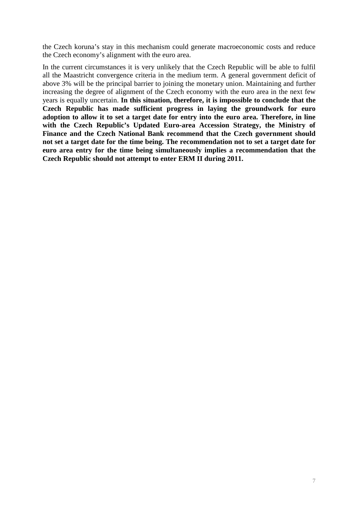the Czech koruna's stay in this mechanism could generate macroeconomic costs and reduce the Czech economy's alignment with the euro area.

In the current circumstances it is very unlikely that the Czech Republic will be able to fulfil all the Maastricht convergence criteria in the medium term. A general government deficit of above 3% will be the principal barrier to joining the monetary union. Maintaining and further increasing the degree of alignment of the Czech economy with the euro area in the next few years is equally uncertain. **In this situation, therefore, it is impossible to conclude that the Czech Republic has made sufficient progress in laying the groundwork for euro adoption to allow it to set a target date for entry into the euro area. Therefore, in line with the Czech Republic's Updated Euro-area Accession Strategy, the Ministry of Finance and the Czech National Bank recommend that the Czech government should not set a target date for the time being. The recommendation not to set a target date for euro area entry for the time being simultaneously implies a recommendation that the Czech Republic should not attempt to enter ERM II during 2011.**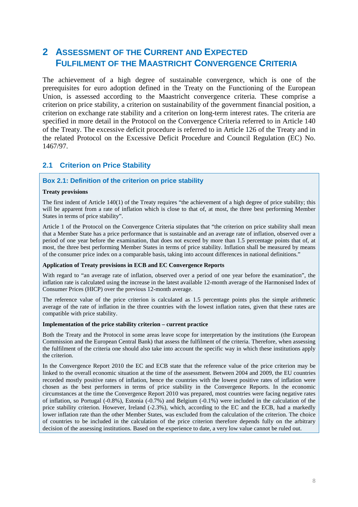## **2 ASSESSMENT OF THE CURRENT AND EXPECTED FULFILMENT OF THE MAASTRICHT CONVERGENCE CRITERIA**

The achievement of a high degree of sustainable convergence, which is one of the prerequisites for euro adoption defined in the Treaty on the Functioning of the European Union, is assessed according to the Maastricht convergence criteria. These comprise a criterion on price stability, a criterion on sustainability of the government financial position, a criterion on exchange rate stability and a criterion on long-term interest rates. The criteria are specified in more detail in the Protocol on the Convergence Criteria referred to in Article 140 of the Treaty. The excessive deficit procedure is referred to in Article 126 of the Treaty and in the related Protocol on the Excessive Deficit Procedure and Council Regulation (EC) No. 1467/97.

### **2.1 Criterion on Price Stability**

#### **Box 2.1: Definition of the criterion on price stability**

#### **Treaty provisions**

The first indent of Article 140(1) of the Treaty requires "the achievement of a high degree of price stability; this will be apparent from a rate of inflation which is close to that of, at most, the three best performing Member States in terms of price stability".

Article 1 of the Protocol on the Convergence Criteria stipulates that "the criterion on price stability shall mean that a Member State has a price performance that is sustainable and an average rate of inflation, observed over a period of one year before the examination, that does not exceed by more than 1.5 percentage points that of, at most, the three best performing Member States in terms of price stability. Inflation shall be measured by means of the consumer price index on a comparable basis, taking into account differences in national definitions."

#### **Application of Treaty provisions in ECB and EC Convergence Reports**

With regard to "an average rate of inflation, observed over a period of one year before the examination", the inflation rate is calculated using the increase in the latest available 12-month average of the Harmonised Index of Consumer Prices (HICP) over the previous 12-month average.

The reference value of the price criterion is calculated as 1.5 percentage points plus the simple arithmetic average of the rate of inflation in the three countries with the lowest inflation rates, given that these rates are compatible with price stability.

#### **Implementation of the price stability criterion – current practice**

Both the Treaty and the Protocol in some areas leave scope for interpretation by the institutions (the European Commission and the European Central Bank) that assess the fulfilment of the criteria. Therefore, when assessing the fulfilment of the criteria one should also take into account the specific way in which these institutions apply the criterion.

In the Convergence Report 2010 the EC and ECB state that the reference value of the price criterion may be linked to the overall economic situation at the time of the assessment. Between 2004 and 2009, the EU countries recorded mostly positive rates of inflation, hence the countries with the lowest positive rates of inflation were chosen as the best performers in terms of price stability in the Convergence Reports. In the economic circumstances at the time the Convergence Report 2010 was prepared, most countries were facing negative rates of inflation, so Portugal (-0.8%), Estonia (-0.7%) and Belgium (-0.1%) were included in the calculation of the price stability criterion. However, Ireland (-2.3%), which, according to the EC and the ECB, had a markedly lower inflation rate than the other Member States, was excluded from the calculation of the criterion. The choice of countries to be included in the calculation of the price criterion therefore depends fully on the arbitrary decision of the assessing institutions. Based on the experience to date, a very low value cannot be ruled out.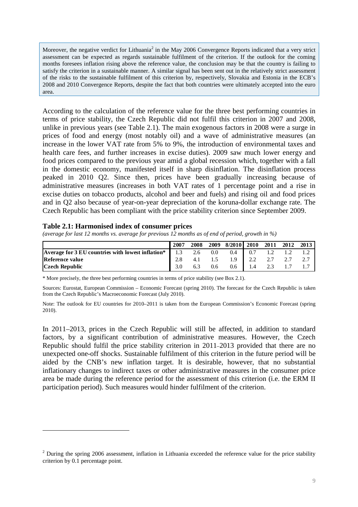Moreover, the negative verdict for Lithuania<sup>2</sup> in the May 2006 Convergence Reports indicated that a very strict assessment can be expected as regards sustainable fulfilment of the criterion. If the outlook for the coming months foresees inflation rising above the reference value, the conclusion may be that the country is failing to satisfy the criterion in a sustainable manner. A similar signal has been sent out in the relatively strict assessment of the risks to the sustainable fulfilment of this criterion by, respectively, Slovakia and Estonia in the ECB's 2008 and 2010 Convergence Reports, despite the fact that both countries were ultimately accepted into the euro area.

According to the calculation of the reference value for the three best performing countries in terms of price stability, the Czech Republic did not fulfil this criterion in 2007 and 2008, unlike in previous years (see Table 2.1). The main exogenous factors in 2008 were a surge in prices of food and energy (most notably oil) and a wave of administrative measures (an increase in the lower VAT rate from 5% to 9%, the introduction of environmental taxes and health care fees, and further increases in excise duties). 2009 saw much lower energy and food prices compared to the previous year amid a global recession which, together with a fall in the domestic economy, manifested itself in sharp disinflation. The disinflation process peaked in 2010 Q2. Since then, prices have been gradually increasing because of administrative measures (increases in both VAT rates of 1 percentage point and a rise in excise duties on tobacco products, alcohol and beer and fuels) and rising oil and food prices and in Q2 also because of year-on-year depreciation of the koruna-dollar exchange rate. The Czech Republic has been compliant with the price stability criterion since September 2009.

#### **Table 2.1: Harmonised index of consumer prices**

 $\overline{a}$ 

*(average for last 12 months vs. average for previous 12 months as of end of period, growth in %)* 

|                                                   | 2007 | 2008 | 2009 | 8/2010 2010 2011 2012 2013 |     |  |  |
|---------------------------------------------------|------|------|------|----------------------------|-----|--|--|
| Average for 3 EU countries with lowest inflation* | 1.3  | 2.6  | 0.0  | 0.4                        | 0.7 |  |  |
| Reference value                                   |      |      |      | 1.9                        |     |  |  |
| <b>Czech Republic</b>                             |      |      | 0.6  | $0.6^{\circ}$              | 1.4 |  |  |

\* More precisely, the three best performing countries in terms of price stability (see Box 2.1).

Sources: Eurostat, European Commission – Economic Forecast (spring 2010). The forecast for the Czech Republic is taken from the Czech Republic's Macroeconomic Forecast (July 2010).

Note: The outlook for EU countries for 2010–2011 is taken from the European Commission's Economic Forecast (spring 2010).

In 2011–2013, prices in the Czech Republic will still be affected, in addition to standard factors, by a significant contribution of administrative measures. However, the Czech Republic should fulfil the price stability criterion in 2011–2013 provided that there are no unexpected one-off shocks. Sustainable fulfilment of this criterion in the future period will be aided by the CNB's new inflation target. It is desirable, however, that no substantial inflationary changes to indirect taxes or other administrative measures in the consumer price area be made during the reference period for the assessment of this criterion (i.e. the ERM II participation period). Such measures would hinder fulfilment of the criterion.

 $2$  During the spring 2006 assessment, inflation in Lithuania exceeded the reference value for the price stability criterion by 0.1 percentage point.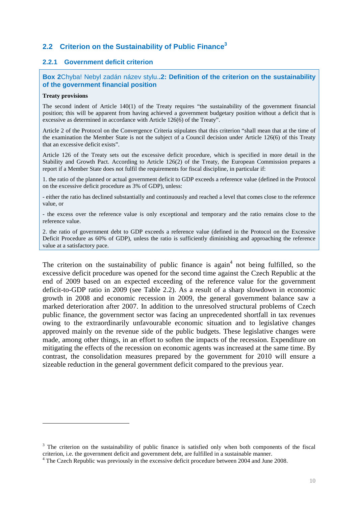## **2.2 Criterion on the Sustainability of Public Finance<sup>3</sup>**

#### **2.2.1 Government deficit criterion**

#### **Box 2**Chyba! Nebyl zadán název stylu.**.2: Definition of the criterion on the sustainability of the government financial position**

#### **Treaty provisions**

 $\overline{a}$ 

The second indent of Article 140(1) of the Treaty requires "the sustainability of the government financial position; this will be apparent from having achieved a government budgetary position without a deficit that is excessive as determined in accordance with Article 126(6) of the Treaty".

Article 2 of the Protocol on the Convergence Criteria stipulates that this criterion "shall mean that at the time of the examination the Member State is not the subject of a Council decision under Article 126(6) of this Treaty that an excessive deficit exists".

Article 126 of the Treaty sets out the excessive deficit procedure, which is specified in more detail in the Stability and Growth Pact. According to Article 126(2) of the Treaty, the European Commission prepares a report if a Member State does not fulfil the requirements for fiscal discipline, in particular if:

1. the ratio of the planned or actual government deficit to GDP exceeds a reference value (defined in the Protocol on the excessive deficit procedure as 3% of GDP), unless:

- either the ratio has declined substantially and continuously and reached a level that comes close to the reference value, or

- the excess over the reference value is only exceptional and temporary and the ratio remains close to the reference value.

2. the ratio of government debt to GDP exceeds a reference value (defined in the Protocol on the Excessive Deficit Procedure as 60% of GDP), unless the ratio is sufficiently diminishing and approaching the reference value at a satisfactory pace.

The criterion on the sustainability of public finance is again<sup>4</sup> not being fulfilled, so the excessive deficit procedure was opened for the second time against the Czech Republic at the end of 2009 based on an expected exceeding of the reference value for the government deficit-to-GDP ratio in 2009 (see Table 2.2). As a result of a sharp slowdown in economic growth in 2008 and economic recession in 2009, the general government balance saw a marked deterioration after 2007. In addition to the unresolved structural problems of Czech public finance, the government sector was facing an unprecedented shortfall in tax revenues owing to the extraordinarily unfavourable economic situation and to legislative changes approved mainly on the revenue side of the public budgets. These legislative changes were made, among other things, in an effort to soften the impacts of the recession. Expenditure on mitigating the effects of the recession on economic agents was increased at the same time. By contrast, the consolidation measures prepared by the government for 2010 will ensure a sizeable reduction in the general government deficit compared to the previous year.

<sup>&</sup>lt;sup>3</sup> The criterion on the sustainability of public finance is satisfied only when both components of the fiscal criterion, i.e. the government deficit and government debt, are fulfilled in a sustainable manner.

<sup>&</sup>lt;sup>4</sup> The Czech Republic was previously in the excessive deficit procedure between 2004 and June 2008.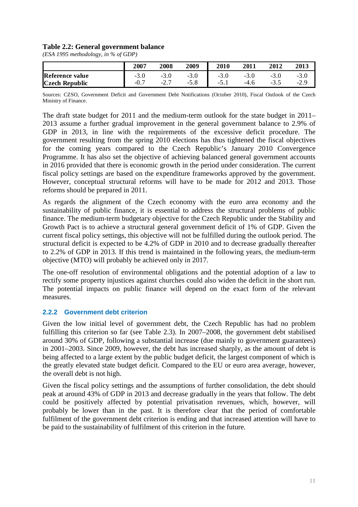#### **Table 2.2: General government balance**

*(ESA 1995 methodology, in % of GDP)* 

|                       | 2007  | 2008 | 2009   | 2010   | 2011 | 2012 | 2013 |
|-----------------------|-------|------|--------|--------|------|------|------|
| Reference value       | - J.U |      | $-3.0$ | -3.V   | -3.U |      | -9.U |
| <b>Czech Republic</b> | -v.,  | -4., | $-5.8$ | $-3.1$ |      | ີ ∙ັ | -4., |

Sources: CZSO, Government Deficit and Government Debt Notifications (October 2010), Fiscal Outlook of the Czech Ministry of Finance.

The draft state budget for 2011 and the medium-term outlook for the state budget in 2011– 2013 assume a further gradual improvement in the general government balance to 2.9% of GDP in 2013, in line with the requirements of the excessive deficit procedure. The government resulting from the spring 2010 elections has thus tightened the fiscal objectives for the coming years compared to the Czech Republic's January 2010 Convergence Programme. It has also set the objective of achieving balanced general government accounts in 2016 provided that there is economic growth in the period under consideration. The current fiscal policy settings are based on the expenditure frameworks approved by the government. However, conceptual structural reforms will have to be made for 2012 and 2013. Those reforms should be prepared in 2011.

As regards the alignment of the Czech economy with the euro area economy and the sustainability of public finance, it is essential to address the structural problems of public finance. The medium-term budgetary objective for the Czech Republic under the Stability and Growth Pact is to achieve a structural general government deficit of 1% of GDP. Given the current fiscal policy settings, this objective will not be fulfilled during the outlook period. The structural deficit is expected to be 4.2% of GDP in 2010 and to decrease gradually thereafter to 2.2% of GDP in 2013. If this trend is maintained in the following years, the medium-term objective (MTO) will probably be achieved only in 2017.

The one-off resolution of environmental obligations and the potential adoption of a law to rectify some property injustices against churches could also widen the deficit in the short run. The potential impacts on public finance will depend on the exact form of the relevant measures.

#### **2.2.2 Government debt criterion**

Given the low initial level of government debt, the Czech Republic has had no problem fulfilling this criterion so far (see Table 2.3). In 2007–2008, the government debt stabilised around 30% of GDP, following a substantial increase (due mainly to government guarantees) in 2001–2003. Since 2009, however, the debt has increased sharply, as the amount of debt is being affected to a large extent by the public budget deficit, the largest component of which is the greatly elevated state budget deficit. Compared to the EU or euro area average, however, the overall debt is not high.

Given the fiscal policy settings and the assumptions of further consolidation, the debt should peak at around 43% of GDP in 2013 and decrease gradually in the years that follow. The debt could be positively affected by potential privatisation revenues, which, however, will probably be lower than in the past. It is therefore clear that the period of comfortable fulfilment of the government debt criterion is ending and that increased attention will have to be paid to the sustainability of fulfilment of this criterion in the future.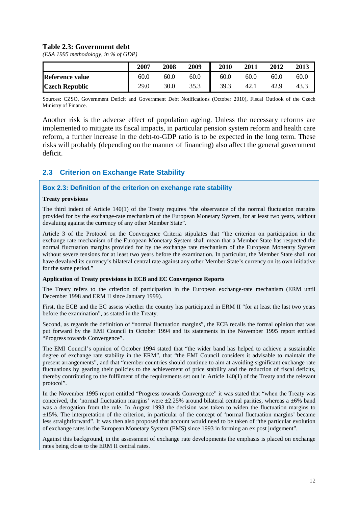#### **Table 2.3: Government debt**

*(ESA 1995 methodology, in % of GDP)* 

|                        | 2007 | 2008 | 2009 | 2010 | 2011 | 2012 | 2013 |
|------------------------|------|------|------|------|------|------|------|
| <b>Reference value</b> | 60.0 | 60.0 | 60.0 | 60.0 | 60.0 | 60.0 | 60.0 |
| <b>Czech Republic</b>  | 29.0 | 30.0 | 35.3 | 39.3 | 42.1 | 42.9 | 43.3 |

Sources: CZSO, Government Deficit and Government Debt Notifications (October 2010), Fiscal Outlook of the Czech Ministry of Finance.

Another risk is the adverse effect of population ageing. Unless the necessary reforms are implemented to mitigate its fiscal impacts, in particular pension system reform and health care reform, a further increase in the debt-to-GDP ratio is to be expected in the long term. These risks will probably (depending on the manner of financing) also affect the general government deficit.

## **2.3 Criterion on Exchange Rate Stability**

#### **Box 2.3: Definition of the criterion on exchange rate stability**

#### **Treaty provisions**

The third indent of Article 140(1) of the Treaty requires "the observance of the normal fluctuation margins provided for by the exchange-rate mechanism of the European Monetary System, for at least two years, without devaluing against the currency of any other Member State".

Article 3 of the Protocol on the Convergence Criteria stipulates that "the criterion on participation in the exchange rate mechanism of the European Monetary System shall mean that a Member State has respected the normal fluctuation margins provided for by the exchange rate mechanism of the European Monetary System without severe tensions for at least two years before the examination. In particular, the Member State shall not have devalued its currency's bilateral central rate against any other Member State's currency on its own initiative for the same period."

#### **Application of Treaty provisions in ECB and EC Convergence Reports**

The Treaty refers to the criterion of participation in the European exchange-rate mechanism (ERM until December 1998 and ERM II since January 1999).

First, the ECB and the EC assess whether the country has participated in ERM II "for at least the last two years before the examination", as stated in the Treaty.

Second, as regards the definition of "normal fluctuation margins", the ECB recalls the formal opinion that was put forward by the EMI Council in October 1994 and its statements in the November 1995 report entitled "Progress towards Convergence".

The EMI Council's opinion of October 1994 stated that "the wider band has helped to achieve a sustainable degree of exchange rate stability in the ERM", that "the EMI Council considers it advisable to maintain the present arrangements", and that "member countries should continue to aim at avoiding significant exchange rate fluctuations by gearing their policies to the achievement of price stability and the reduction of fiscal deficits, thereby contributing to the fulfilment of the requirements set out in Article 140(1) of the Treaty and the relevant protocol".

In the November 1995 report entitled "Progress towards Convergence" it was stated that "when the Treaty was conceived, the 'normal fluctuation margins' were  $\pm 2.25\%$  around bilateral central parities, whereas a  $\pm 6\%$  band was a derogation from the rule. In August 1993 the decision was taken to widen the fluctuation margins to ±15%. The interpretation of the criterion, in particular of the concept of 'normal fluctuation margins' became less straightforward". It was then also proposed that account would need to be taken of "the particular evolution of exchange rates in the European Monetary System (EMS) since 1993 in forming an ex post judgement".

Against this background, in the assessment of exchange rate developments the emphasis is placed on exchange rates being close to the ERM II central rates.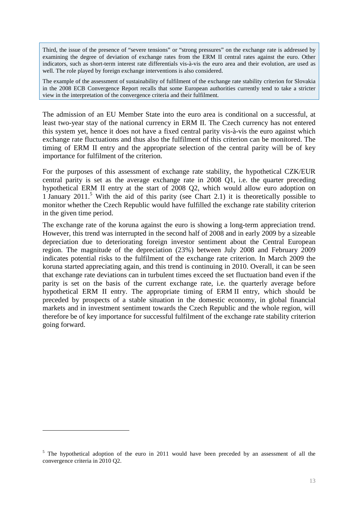Third, the issue of the presence of "severe tensions" or "strong pressures" on the exchange rate is addressed by examining the degree of deviation of exchange rates from the ERM II central rates against the euro. Other indicators, such as short-term interest rate differentials vis-à-vis the euro area and their evolution, are used as well. The role played by foreign exchange interventions is also considered.

The example of the assessment of sustainability of fulfilment of the exchange rate stability criterion for Slovakia in the 2008 ECB Convergence Report recalls that some European authorities currently tend to take a stricter view in the interpretation of the convergence criteria and their fulfilment.

The admission of an EU Member State into the euro area is conditional on a successful, at least two-year stay of the national currency in ERM II. The Czech currency has not entered this system yet, hence it does not have a fixed central parity vis-à-vis the euro against which exchange rate fluctuations and thus also the fulfilment of this criterion can be monitored. The timing of ERM II entry and the appropriate selection of the central parity will be of key importance for fulfilment of the criterion.

For the purposes of this assessment of exchange rate stability, the hypothetical CZK/EUR central parity is set as the average exchange rate in 2008 Q1, i.e. the quarter preceding hypothetical ERM II entry at the start of 2008 Q2, which would allow euro adoption on 1 January 2011.<sup>5</sup> With the aid of this parity (see Chart 2.1) it is theoretically possible to monitor whether the Czech Republic would have fulfilled the exchange rate stability criterion in the given time period.

The exchange rate of the koruna against the euro is showing a long-term appreciation trend. However, this trend was interrupted in the second half of 2008 and in early 2009 by a sizeable depreciation due to deteriorating foreign investor sentiment about the Central European region. The magnitude of the depreciation (23%) between July 2008 and February 2009 indicates potential risks to the fulfilment of the exchange rate criterion. In March 2009 the koruna started appreciating again, and this trend is continuing in 2010. Overall, it can be seen that exchange rate deviations can in turbulent times exceed the set fluctuation band even if the parity is set on the basis of the current exchange rate, i.e. the quarterly average before hypothetical ERM II entry. The appropriate timing of ERM II entry, which should be preceded by prospects of a stable situation in the domestic economy, in global financial markets and in investment sentiment towards the Czech Republic and the whole region, will therefore be of key importance for successful fulfilment of the exchange rate stability criterion going forward.

 $\overline{a}$ 

<sup>&</sup>lt;sup>5</sup> The hypothetical adoption of the euro in 2011 would have been preceded by an assessment of all the convergence criteria in 2010 Q2.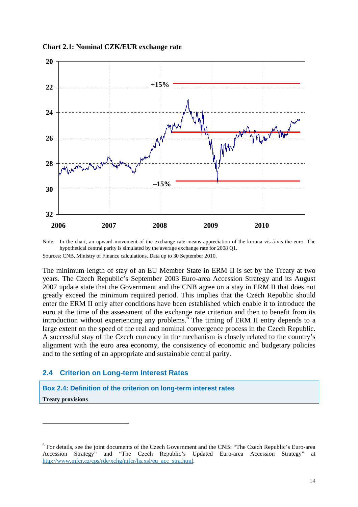**Chart 2.1: Nominal CZK/EUR exchange rate** 



Note: In the chart, an upward movement of the exchange rate means appreciation of the koruna vis-à-vis the euro. The hypothetical central parity is simulated by the average exchange rate for 2008 Q1. Sources: CNB, Ministry of Finance calculations. Data up to 30 September 2010.

The minimum length of stay of an EU Member State in ERM II is set by the Treaty at two years. The Czech Republic's September 2003 Euro-area Accession Strategy and its August 2007 update state that the Government and the CNB agree on a stay in ERM II that does not greatly exceed the minimum required period. This implies that the Czech Republic should enter the ERM II only after conditions have been established which enable it to introduce the euro at the time of the assessment of the exchange rate criterion and then to benefit from its introduction without experiencing any problems.  $\overline{6}$  The timing of ERM II entry depends to a large extent on the speed of the real and nominal convergence process in the Czech Republic. A successful stay of the Czech currency in the mechanism is closely related to the country's alignment with the euro area economy, the consistency of economic and budgetary policies and to the setting of an appropriate and sustainable central parity.

### **2.4 Criterion on Long-term Interest Rates**

 $\overline{a}$ 

**Box 2.4: Definition of the criterion on long-term interest rates Treaty provisions** 

<sup>&</sup>lt;sup>6</sup> For details, see the joint documents of the Czech Government and the CNB: "The Czech Republic's Euro-area Accession Strategy" and "The Czech Republic's Updated Euro-area Accession Strategy" at http://www.mfcr.cz/cps/rde/xchg/mfcr/hs.xsl/eu\_acc\_stra.html.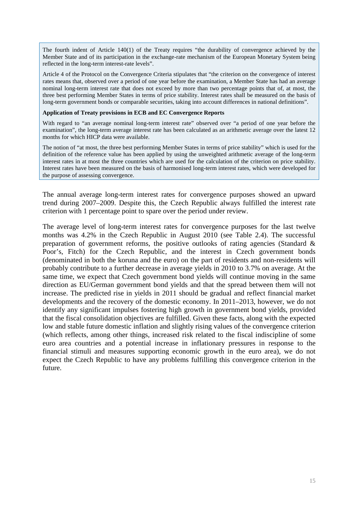The fourth indent of Article 140(1) of the Treaty requires "the durability of convergence achieved by the Member State and of its participation in the exchange-rate mechanism of the European Monetary System being reflected in the long-term interest-rate levels".

Article 4 of the Protocol on the Convergence Criteria stipulates that "the criterion on the convergence of interest rates means that, observed over a period of one year before the examination, a Member State has had an average nominal long-term interest rate that does not exceed by more than two percentage points that of, at most, the three best performing Member States in terms of price stability. Interest rates shall be measured on the basis of long-term government bonds or comparable securities, taking into account differences in national definitions".

#### **Application of Treaty provisions in ECB and EC Convergence Reports**

With regard to "an average nominal long-term interest rate" observed over "a period of one year before the examination", the long-term average interest rate has been calculated as an arithmetic average over the latest 12 months for which HICP data were available.

The notion of "at most, the three best performing Member States in terms of price stability" which is used for the definition of the reference value has been applied by using the unweighted arithmetic average of the long-term interest rates in at most the three countries which are used for the calculation of the criterion on price stability. Interest rates have been measured on the basis of harmonised long-term interest rates, which were developed for the purpose of assessing convergence.

The annual average long-term interest rates for convergence purposes showed an upward trend during 2007–2009. Despite this, the Czech Republic always fulfilled the interest rate criterion with 1 percentage point to spare over the period under review.

The average level of long-term interest rates for convergence purposes for the last twelve months was 4.2% in the Czech Republic in August 2010 (see Table 2.4). The successful preparation of government reforms, the positive outlooks of rating agencies (Standard  $\&$ Poor's, Fitch) for the Czech Republic, and the interest in Czech government bonds (denominated in both the koruna and the euro) on the part of residents and non-residents will probably contribute to a further decrease in average yields in 2010 to 3.7% on average. At the same time, we expect that Czech government bond yields will continue moving in the same direction as EU/German government bond yields and that the spread between them will not increase. The predicted rise in yields in 2011 should be gradual and reflect financial market developments and the recovery of the domestic economy. In 2011–2013, however, we do not identify any significant impulses fostering high growth in government bond yields, provided that the fiscal consolidation objectives are fulfilled. Given these facts, along with the expected low and stable future domestic inflation and slightly rising values of the convergence criterion (which reflects, among other things, increased risk related to the fiscal indiscipline of some euro area countries and a potential increase in inflationary pressures in response to the financial stimuli and measures supporting economic growth in the euro area), we do not expect the Czech Republic to have any problems fulfilling this convergence criterion in the future.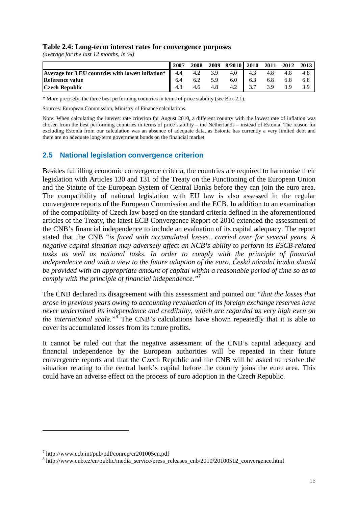#### **Table 2.4: Long-term interest rates for convergence purposes**

*(average for the last 12 months, in %)* 

|                                                   | 2007 | 2008 | 2009 | 8/2010   2010 |     | 2011 | 2012 | 2013 |
|---------------------------------------------------|------|------|------|---------------|-----|------|------|------|
| Average for 3 EU countries with lowest inflation* | 4.4  | 4.2  | 3.9  |               | 4.3 |      |      |      |
| Reference value                                   | 6.4  |      | 5.9  | 6.0           | 6.3 |      |      |      |
| <b>Czech Republic</b>                             |      | 4.6  | 4.8  | 4.2           |     | 3 Q  |      |      |

\* More precisely, the three best performing countries in terms of price stability (see Box 2.1).

Sources: European Commission, Ministry of Finance calculations.

Note: When calculating the interest rate criterion for August 2010, a different country with the lowest rate of inflation was chosen from the best performing countries in terms of price stability – the Netherlands – instead of Estonia. The reason for excluding Estonia from our calculation was an absence of adequate data, as Estonia has currently a very limited debt and there are no adequate long-term government bonds on the financial market.

## **2.5 National legislation convergence criterion**

Besides fulfilling economic convergence criteria, the countries are required to harmonise their legislation with Articles 130 and 131 of the Treaty on the Functioning of the European Union and the Statute of the European System of Central Banks before they can join the euro area. The compatibility of national legislation with EU law is also assessed in the regular convergence reports of the European Commission and the ECB. In addition to an examination of the compatibility of Czech law based on the standard criteria defined in the aforementioned articles of the Treaty, the latest ECB Convergence Report of 2010 extended the assessment of the CNB's financial independence to include an evaluation of its capital adequacy. The report stated that the CNB "*is faced with accumulated losses…carried over for several years. A negative capital situation may adversely affect an NCB's ability to perform its ESCB-related tasks as well as national tasks. In order to comply with the principle of financial independence and with a view to the future adoption of the euro, Česká národní banka should be provided with an appropriate amount of capital within a reasonable period of time so as to comply with the principle of financial independence."***<sup>7</sup>**

The CNB declared its disagreement with this assessment and pointed out *"that the losses that arose in previous years owing to accounting revaluation of its foreign exchange reserves have never undermined its independence and credibility, which are regarded as very high even on the international scale."*<sup>8</sup> The CNB's calculations have shown repeatedly that it is able to cover its accumulated losses from its future profits.

It cannot be ruled out that the negative assessment of the CNB's capital adequacy and financial independence by the European authorities will be repeated in their future convergence reports and that the Czech Republic and the CNB will be asked to resolve the situation relating to the central bank's capital before the country joins the euro area. This could have an adverse effect on the process of euro adoption in the Czech Republic.

 $\overline{a}$ 

<sup>7</sup> http://www.ecb.int/pub/pdf/conrep/cr201005en.pdf

<sup>8</sup> http://www.cnb.cz/en/public/media\_service/press\_releases\_cnb/2010/20100512\_convergence.html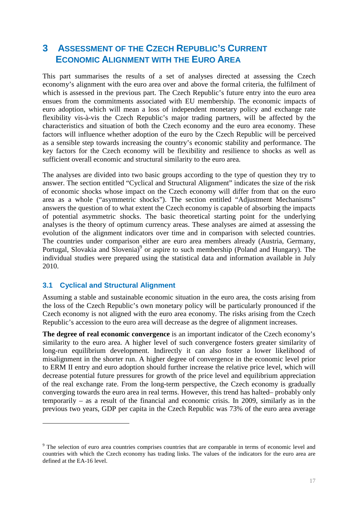## **3 ASSESSMENT OF THE CZECH REPUBLIC'S CURRENT ECONOMIC ALIGNMENT WITH THE EURO AREA**

This part summarises the results of a set of analyses directed at assessing the Czech economy's alignment with the euro area over and above the formal criteria, the fulfilment of which is assessed in the previous part. The Czech Republic's future entry into the euro area ensues from the commitments associated with EU membership. The economic impacts of euro adoption, which will mean a loss of independent monetary policy and exchange rate flexibility vis-à-vis the Czech Republic's major trading partners, will be affected by the characteristics and situation of both the Czech economy and the euro area economy. These factors will influence whether adoption of the euro by the Czech Republic will be perceived as a sensible step towards increasing the country's economic stability and performance. The key factors for the Czech economy will be flexibility and resilience to shocks as well as sufficient overall economic and structural similarity to the euro area.

The analyses are divided into two basic groups according to the type of question they try to answer. The section entitled "Cyclical and Structural Alignment" indicates the size of the risk of economic shocks whose impact on the Czech economy will differ from that on the euro area as a whole ("asymmetric shocks"). The section entitled "Adjustment Mechanisms" answers the question of to what extent the Czech economy is capable of absorbing the impacts of potential asymmetric shocks. The basic theoretical starting point for the underlying analyses is the theory of optimum currency areas. These analyses are aimed at assessing the evolution of the alignment indicators over time and in comparison with selected countries. The countries under comparison either are euro area members already (Austria, Germany, Portugal, Slovakia and Slovenia)<sup>9</sup> or aspire to such membership (Poland and Hungary). The individual studies were prepared using the statistical data and information available in July 2010.

### **3.1 Cyclical and Structural Alignment**

 $\overline{a}$ 

Assuming a stable and sustainable economic situation in the euro area, the costs arising from the loss of the Czech Republic's own monetary policy will be particularly pronounced if the Czech economy is not aligned with the euro area economy. The risks arising from the Czech Republic's accession to the euro area will decrease as the degree of alignment increases.

**The degree of real economic convergence** is an important indicator of the Czech economy's similarity to the euro area. A higher level of such convergence fosters greater similarity of long-run equilibrium development. Indirectly it can also foster a lower likelihood of misalignment in the shorter run. A higher degree of convergence in the economic level prior to ERM II entry and euro adoption should further increase the relative price level, which will decrease potential future pressures for growth of the price level and equilibrium appreciation of the real exchange rate. From the long-term perspective, the Czech economy is gradually converging towards the euro area in real terms. However, this trend has halted– probably only temporarily – as a result of the financial and economic crisis. In 2009, similarly as in the previous two years, GDP per capita in the Czech Republic was 73% of the euro area average

<sup>&</sup>lt;sup>9</sup> The selection of euro area countries comprises countries that are comparable in terms of economic level and countries with which the Czech economy has trading links. The values of the indicators for the euro area are defined at the EA-16 level.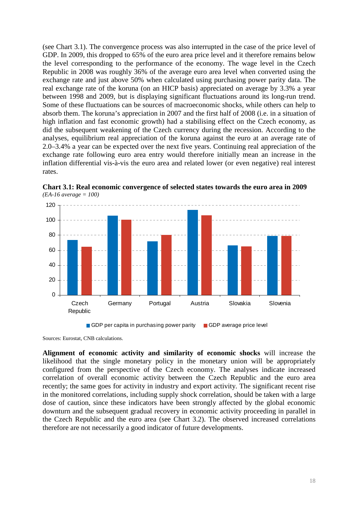(see Chart 3.1). The convergence process was also interrupted in the case of the price level of GDP. In 2009, this dropped to 65% of the euro area price level and it therefore remains below the level corresponding to the performance of the economy. The wage level in the Czech Republic in 2008 was roughly 36% of the average euro area level when converted using the exchange rate and just above 50% when calculated using purchasing power parity data. The real exchange rate of the koruna (on an HICP basis) appreciated on average by 3.3% a year between 1998 and 2009, but is displaying significant fluctuations around its long-run trend. Some of these fluctuations can be sources of macroeconomic shocks, while others can help to absorb them. The koruna's appreciation in 2007 and the first half of 2008 (i.e. in a situation of high inflation and fast economic growth) had a stabilising effect on the Czech economy, as did the subsequent weakening of the Czech currency during the recession. According to the analyses, equilibrium real appreciation of the koruna against the euro at an average rate of 2.0–3.4% a year can be expected over the next five years. Continuing real appreciation of the exchange rate following euro area entry would therefore initially mean an increase in the inflation differential vis-à-vis the euro area and related lower (or even negative) real interest rates.



**Chart 3.1: Real economic convergence of selected states towards the euro area in 2009**  *(EA-16 average = 100)* 

GDP per capita in purchasing power parity GDP average price level

Sources: Eurostat, CNB calculations.

**Alignment of economic activity and similarity of economic shocks** will increase the likelihood that the single monetary policy in the monetary union will be appropriately configured from the perspective of the Czech economy. The analyses indicate increased correlation of overall economic activity between the Czech Republic and the euro area recently; the same goes for activity in industry and export activity. The significant recent rise in the monitored correlations, including supply shock correlation, should be taken with a large dose of caution, since these indicators have been strongly affected by the global economic downturn and the subsequent gradual recovery in economic activity proceeding in parallel in the Czech Republic and the euro area (see Chart 3.2). The observed increased correlations therefore are not necessarily a good indicator of future developments.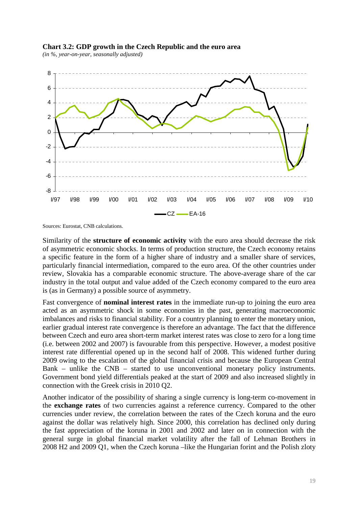

#### **Chart 3.2: GDP growth in the Czech Republic and the euro area**

*(in %, year-on-year, seasonally adjusted)* 

Sources: Eurostat, CNB calculations.

Similarity of the **structure of economic activity** with the euro area should decrease the risk of asymmetric economic shocks. In terms of production structure, the Czech economy retains a specific feature in the form of a higher share of industry and a smaller share of services, particularly financial intermediation, compared to the euro area. Of the other countries under review, Slovakia has a comparable economic structure. The above-average share of the car industry in the total output and value added of the Czech economy compared to the euro area is (as in Germany) a possible source of asymmetry.

Fast convergence of **nominal interest rates** in the immediate run-up to joining the euro area acted as an asymmetric shock in some economies in the past, generating macroeconomic imbalances and risks to financial stability. For a country planning to enter the monetary union, earlier gradual interest rate convergence is therefore an advantage. The fact that the difference between Czech and euro area short-term market interest rates was close to zero for a long time (i.e. between 2002 and 2007) is favourable from this perspective. However, a modest positive interest rate differential opened up in the second half of 2008. This widened further during 2009 owing to the escalation of the global financial crisis and because the European Central Bank – unlike the CNB – started to use unconventional monetary policy instruments. Government bond yield differentials peaked at the start of 2009 and also increased slightly in connection with the Greek crisis in 2010 Q2.

Another indicator of the possibility of sharing a single currency is long-term co-movement in the **exchange rates** of two currencies against a reference currency. Compared to the other currencies under review, the correlation between the rates of the Czech koruna and the euro against the dollar was relatively high. Since 2000, this correlation has declined only during the fast appreciation of the koruna in 2001 and 2002 and later on in connection with the general surge in global financial market volatility after the fall of Lehman Brothers in 2008 H2 and 2009 Q1, when the Czech koruna –like the Hungarian forint and the Polish zloty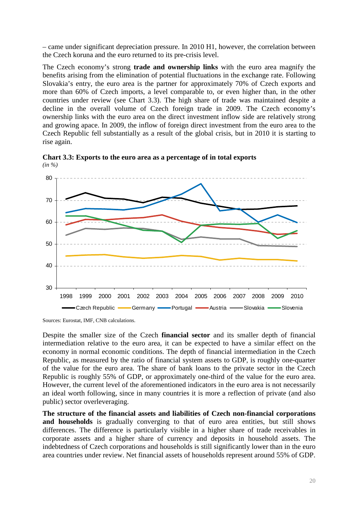– came under significant depreciation pressure. In 2010 H1, however, the correlation between the Czech koruna and the euro returned to its pre-crisis level.

The Czech economy's strong **trade and ownership links** with the euro area magnify the benefits arising from the elimination of potential fluctuations in the exchange rate. Following Slovakia's entry, the euro area is the partner for approximately 70% of Czech exports and more than 60% of Czech imports, a level comparable to, or even higher than, in the other countries under review (see Chart 3.3). The high share of trade was maintained despite a decline in the overall volume of Czech foreign trade in 2009. The Czech economy's ownership links with the euro area on the direct investment inflow side are relatively strong and growing apace. In 2009, the inflow of foreign direct investment from the euro area to the Czech Republic fell substantially as a result of the global crisis, but in 2010 it is starting to rise again.



**Chart 3.3: Exports to the euro area as a percentage of in total exports**  *(in %)* 

Sources: Eurostat, IMF, CNB calculations.

Despite the smaller size of the Czech **financial sector** and its smaller depth of financial intermediation relative to the euro area, it can be expected to have a similar effect on the economy in normal economic conditions. The depth of financial intermediation in the Czech Republic, as measured by the ratio of financial system assets to GDP, is roughly one-quarter of the value for the euro area. The share of bank loans to the private sector in the Czech Republic is roughly 55% of GDP, or approximately one-third of the value for the euro area. However, the current level of the aforementioned indicators in the euro area is not necessarily an ideal worth following, since in many countries it is more a reflection of private (and also public) sector overleveraging.

**The structure of the financial assets and liabilities of Czech non-financial corporations**  and households is gradually converging to that of euro area entities, but still shows differences. The difference is particularly visible in a higher share of trade receivables in corporate assets and a higher share of currency and deposits in household assets. The indebtedness of Czech corporations and households is still significantly lower than in the euro area countries under review. Net financial assets of households represent around 55% of GDP.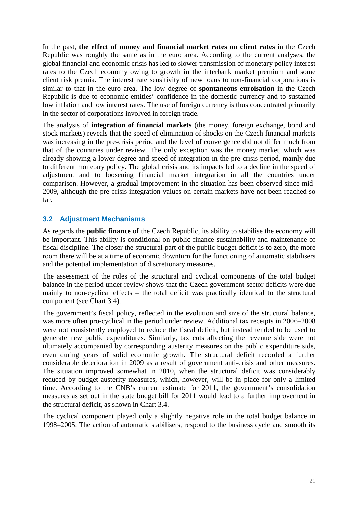In the past, **the effect of money and financial market rates on client rates** in the Czech Republic was roughly the same as in the euro area. According to the current analyses, the global financial and economic crisis has led to slower transmission of monetary policy interest rates to the Czech economy owing to growth in the interbank market premium and some client risk premia. The interest rate sensitivity of new loans to non-financial corporations is similar to that in the euro area. The low degree of **spontaneous euroisation** in the Czech Republic is due to economic entities' confidence in the domestic currency and to sustained low inflation and low interest rates. The use of foreign currency is thus concentrated primarily in the sector of corporations involved in foreign trade.

The analysis of **integration of financial markets** (the money, foreign exchange, bond and stock markets) reveals that the speed of elimination of shocks on the Czech financial markets was increasing in the pre-crisis period and the level of convergence did not differ much from that of the countries under review. The only exception was the money market, which was already showing a lower degree and speed of integration in the pre-crisis period, mainly due to different monetary policy. The global crisis and its impacts led to a decline in the speed of adjustment and to loosening financial market integration in all the countries under comparison. However, a gradual improvement in the situation has been observed since mid-2009, although the pre-crisis integration values on certain markets have not been reached so far.

## **3.2 Adjustment Mechanisms**

As regards the **public finance** of the Czech Republic, its ability to stabilise the economy will be important. This ability is conditional on public finance sustainability and maintenance of fiscal discipline. The closer the structural part of the public budget deficit is to zero, the more room there will be at a time of economic downturn for the functioning of automatic stabilisers and the potential implementation of discretionary measures.

The assessment of the roles of the structural and cyclical components of the total budget balance in the period under review shows that the Czech government sector deficits were due mainly to non-cyclical effects – the total deficit was practically identical to the structural component (see Chart 3.4).

The government's fiscal policy, reflected in the evolution and size of the structural balance, was more often pro-cyclical in the period under review. Additional tax receipts in 2006–2008 were not consistently employed to reduce the fiscal deficit, but instead tended to be used to generate new public expenditures. Similarly, tax cuts affecting the revenue side were not ultimately accompanied by corresponding austerity measures on the public expenditure side, even during years of solid economic growth. The structural deficit recorded a further considerable deterioration in 2009 as a result of government anti-crisis and other measures. The situation improved somewhat in 2010, when the structural deficit was considerably reduced by budget austerity measures, which, however, will be in place for only a limited time. According to the CNB's current estimate for 2011, the government's consolidation measures as set out in the state budget bill for 2011 would lead to a further improvement in the structural deficit, as shown in Chart 3.4.

The cyclical component played only a slightly negative role in the total budget balance in 1998–2005. The action of automatic stabilisers, respond to the business cycle and smooth its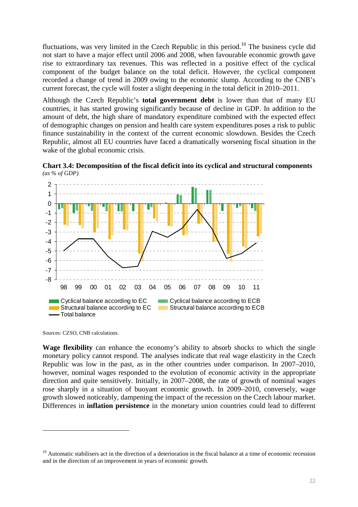fluctuations, was very limited in the Czech Republic in this period.<sup>10</sup> The business cycle did not start to have a major effect until 2006 and 2008, when favourable economic growth gave rise to extraordinary tax revenues. This was reflected in a positive effect of the cyclical component of the budget balance on the total deficit. However, the cyclical component recorded a change of trend in 2009 owing to the economic slump. According to the CNB's current forecast, the cycle will foster a slight deepening in the total deficit in 2010–2011.

Although the Czech Republic's **total government debt** is lower than that of many EU countries, it has started growing significantly because of decline in GDP. In addition to the amount of debt, the high share of mandatory expenditure combined with the expected effect of demographic changes on pension and health care system expenditures poses a risk to public finance sustainability in the context of the current economic slowdown. Besides the Czech Republic, almost all EU countries have faced a dramatically worsening fiscal situation in the wake of the global economic crisis.



**Chart 3.4: Decomposition of the fiscal deficit into its cyclical and structural components**  *(as % of GDP)* 

Sources: CZSO, CNB calculations.

 $\overline{a}$ 

**Wage flexibility** can enhance the economy's ability to absorb shocks to which the single monetary policy cannot respond. The analyses indicate that real wage elasticity in the Czech Republic was low in the past, as in the other countries under comparison. In 2007–2010, however, nominal wages responded to the evolution of economic activity in the appropriate direction and quite sensitively. Initially, in 2007–2008, the rate of growth of nominal wages rose sharply in a situation of buoyant economic growth. In 2009–2010, conversely, wage growth slowed noticeably, dampening the impact of the recession on the Czech labour market. Differences in **inflation persistence** in the monetary union countries could lead to different

 $10$  Automatic stabilisers act in the direction of a deterioration in the fiscal balance at a time of economic recession and in the direction of an improvement in years of economic growth.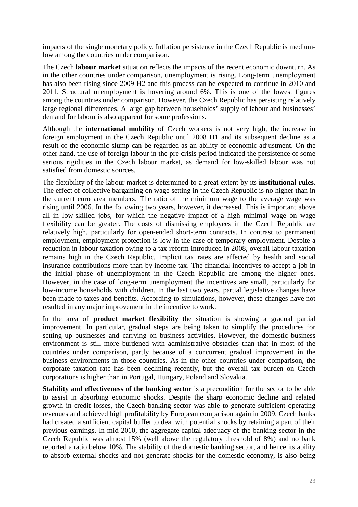impacts of the single monetary policy. Inflation persistence in the Czech Republic is mediumlow among the countries under comparison.

The Czech **labour market** situation reflects the impacts of the recent economic downturn. As in the other countries under comparison, unemployment is rising. Long-term unemployment has also been rising since 2009 H2 and this process can be expected to continue in 2010 and 2011. Structural unemployment is hovering around 6%. This is one of the lowest figures among the countries under comparison. However, the Czech Republic has persisting relatively large regional differences. A large gap between households' supply of labour and businesses' demand for labour is also apparent for some professions.

Although the **international mobility** of Czech workers is not very high, the increase in foreign employment in the Czech Republic until 2008 H1 and its subsequent decline as a result of the economic slump can be regarded as an ability of economic adjustment. On the other hand, the use of foreign labour in the pre-crisis period indicated the persistence of some serious rigidities in the Czech labour market, as demand for low-skilled labour was not satisfied from domestic sources.

The flexibility of the labour market is determined to a great extent by its **institutional rules**. The effect of collective bargaining on wage setting in the Czech Republic is no higher than in the current euro area members. The ratio of the minimum wage to the average wage was rising until 2006. In the following two years, however, it decreased. This is important above all in low-skilled jobs, for which the negative impact of a high minimal wage on wage flexibility can be greater. The costs of dismissing employees in the Czech Republic are relatively high, particularly for open-ended short-term contracts. In contrast to permanent employment, employment protection is low in the case of temporary employment. Despite a reduction in labour taxation owing to a tax reform introduced in 2008, overall labour taxation remains high in the Czech Republic. Implicit tax rates are affected by health and social insurance contributions more than by income tax. The financial incentives to accept a job in the initial phase of unemployment in the Czech Republic are among the higher ones. However, in the case of long-term unemployment the incentives are small, particularly for low-income households with children. In the last two years, partial legislative changes have been made to taxes and benefits. According to simulations, however, these changes have not resulted in any major improvement in the incentive to work.

In the area of **product market flexibility** the situation is showing a gradual partial improvement. In particular, gradual steps are being taken to simplify the procedures for setting up businesses and carrying on business activities. However, the domestic business environment is still more burdened with administrative obstacles than that in most of the countries under comparison, partly because of a concurrent gradual improvement in the business environments in those countries. As in the other countries under comparison, the corporate taxation rate has been declining recently, but the overall tax burden on Czech corporations is higher than in Portugal, Hungary, Poland and Slovakia.

**Stability and effectiveness of the banking sector** is a precondition for the sector to be able to assist in absorbing economic shocks. Despite the sharp economic decline and related growth in credit losses, the Czech banking sector was able to generate sufficient operating revenues and achieved high profitability by European comparison again in 2009. Czech banks had created a sufficient capital buffer to deal with potential shocks by retaining a part of their previous earnings. In mid-2010, the aggregate capital adequacy of the banking sector in the Czech Republic was almost 15% (well above the regulatory threshold of 8%) and no bank reported a ratio below 10%. The stability of the domestic banking sector, and hence its ability to absorb external shocks and not generate shocks for the domestic economy, is also being